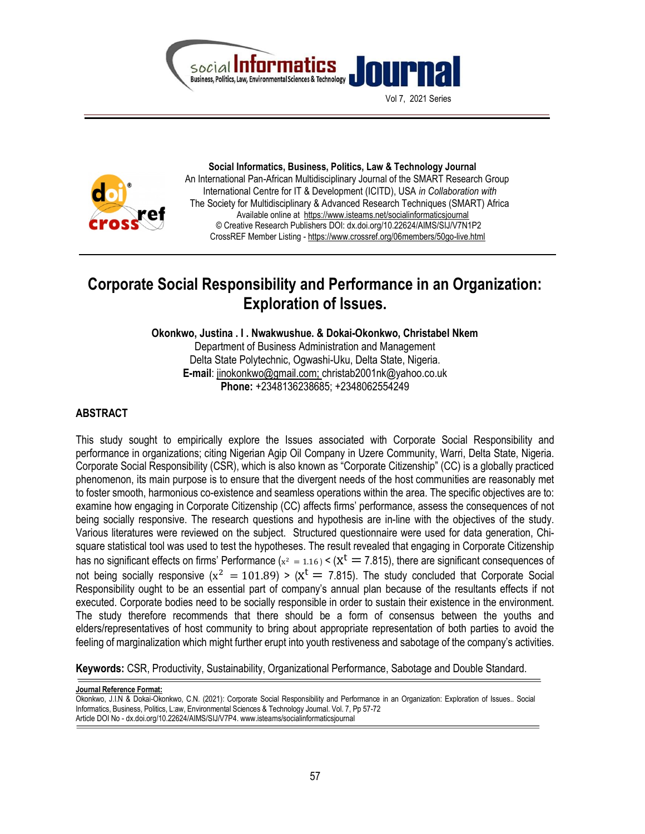

Vol 7, 2021 Series



 Social Informatics, Business, Politics, Law & Technology Journal An International Pan-African Multidisciplinary Journal of the SMART Research Group International Centre for IT & Development (ICITD), USA in Collaboration with The Society for Multidisciplinary & Advanced Research Techniques (SMART) Africa Available online at https://www.isteams.net/socialinformaticsjournal © Creative Research Publishers DOI: dx.doi.org/10.22624/AIMS/SIJ/V7N1P2 CrossREF Member Listing - https://www.crossref.org/06members/50go-live.html

# Corporate Social Responsibility and Performance in an Organization: Exploration of Issues.

Okonkwo, Justina . I . Nwakwushue. & Dokai-Okonkwo, Christabel Nkem

Department of Business Administration and Management Delta State Polytechnic, Ogwashi-Uku, Delta State, Nigeria. E-mail: jinokonkwo@gmail.com; christab2001nk@yahoo.co.uk Phone: +2348136238685; +2348062554249

# ABSTRACT

This study sought to empirically explore the Issues associated with Corporate Social Responsibility and performance in organizations; citing Nigerian Agip Oil Company in Uzere Community, Warri, Delta State, Nigeria. Corporate Social Responsibility (CSR), which is also known as "Corporate Citizenship" (CC) is a globally practiced phenomenon, its main purpose is to ensure that the divergent needs of the host communities are reasonably met to foster smooth, harmonious co-existence and seamless operations within the area. The specific objectives are to: examine how engaging in Corporate Citizenship (CC) affects firms' performance, assess the consequences of not being socially responsive. The research questions and hypothesis are in-line with the objectives of the study. Various literatures were reviewed on the subject. Structured questionnaire were used for data generation, Chisquare statistical tool was used to test the hypotheses. The result revealed that engaging in Corporate Citizenship has no significant effects on firms' Performance ( $x^2 = 1.16$ ) < ( $x^t = 7.815$ ), there are significant consequences of not being socially responsive  $(x^2 = 101.89) > (x^t = 7.815)$ . The study concluded that Corporate Social Responsibility ought to be an essential part of company's annual plan because of the resultants effects if not executed. Corporate bodies need to be socially responsible in order to sustain their existence in the environment. The study therefore recommends that there should be a form of consensus between the youths and elders/representatives of host community to bring about appropriate representation of both parties to avoid the feeling of marginalization which might further erupt into youth restiveness and sabotage of the company's activities.

Keywords: CSR, Productivity, Sustainability, Organizational Performance, Sabotage and Double Standard.

#### Journal Reference Format:

Okonkwo, J.I.N & Dokai-Okonkwo, C.N. (2021): Corporate Social Responsibility and Performance in an Organization: Exploration of Issues.. Social Informatics, Business, Politics, L:aw, Environmental Sciences & Technology Journal. Vol. 7, Pp 57-72 Article DOI No - dx.doi.org/10.22624/AIMS/SIJ/V7P4. www.isteams/socialinformaticsjournal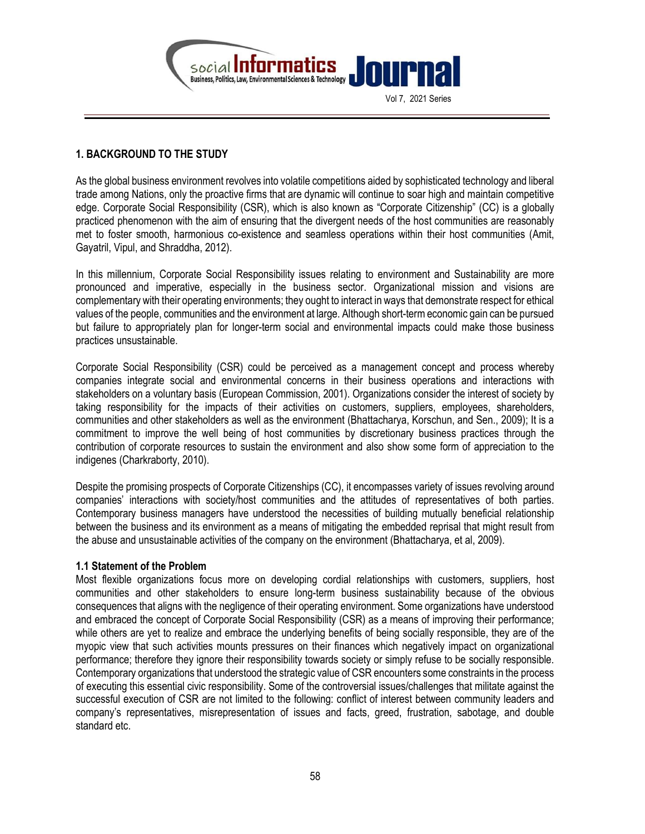

## 1. BACKGROUND TO THE STUDY

As the global business environment revolves into volatile competitions aided by sophisticated technology and liberal trade among Nations, only the proactive firms that are dynamic will continue to soar high and maintain competitive edge. Corporate Social Responsibility (CSR), which is also known as "Corporate Citizenship" (CC) is a globally practiced phenomenon with the aim of ensuring that the divergent needs of the host communities are reasonably met to foster smooth, harmonious co-existence and seamless operations within their host communities (Amit, Gayatril, Vipul, and Shraddha, 2012).

In this millennium, Corporate Social Responsibility issues relating to environment and Sustainability are more pronounced and imperative, especially in the business sector. Organizational mission and visions are complementary with their operating environments; they ought to interact in ways that demonstrate respect for ethical values of the people, communities and the environment at large. Although short-term economic gain can be pursued but failure to appropriately plan for longer-term social and environmental impacts could make those business practices unsustainable.

Corporate Social Responsibility (CSR) could be perceived as a management concept and process whereby companies integrate social and environmental concerns in their business operations and interactions with stakeholders on a voluntary basis (European Commission, 2001). Organizations consider the interest of society by taking responsibility for the impacts of their activities on customers, suppliers, employees, shareholders, communities and other stakeholders as well as the environment (Bhattacharya, Korschun, and Sen., 2009); It is a commitment to improve the well being of host communities by discretionary business practices through the contribution of corporate resources to sustain the environment and also show some form of appreciation to the indigenes (Charkraborty, 2010).

Despite the promising prospects of Corporate Citizenships (CC), it encompasses variety of issues revolving around companies' interactions with society/host communities and the attitudes of representatives of both parties. Contemporary business managers have understood the necessities of building mutually beneficial relationship between the business and its environment as a means of mitigating the embedded reprisal that might result from the abuse and unsustainable activities of the company on the environment (Bhattacharya, et al, 2009).

#### 1.1 Statement of the Problem

Most flexible organizations focus more on developing cordial relationships with customers, suppliers, host communities and other stakeholders to ensure long-term business sustainability because of the obvious consequences that aligns with the negligence of their operating environment. Some organizations have understood and embraced the concept of Corporate Social Responsibility (CSR) as a means of improving their performance; while others are yet to realize and embrace the underlying benefits of being socially responsible, they are of the myopic view that such activities mounts pressures on their finances which negatively impact on organizational performance; therefore they ignore their responsibility towards society or simply refuse to be socially responsible. Contemporary organizations that understood the strategic value of CSR encounters some constraints in the process of executing this essential civic responsibility. Some of the controversial issues/challenges that militate against the successful execution of CSR are not limited to the following: conflict of interest between community leaders and company's representatives, misrepresentation of issues and facts, greed, frustration, sabotage, and double standard etc.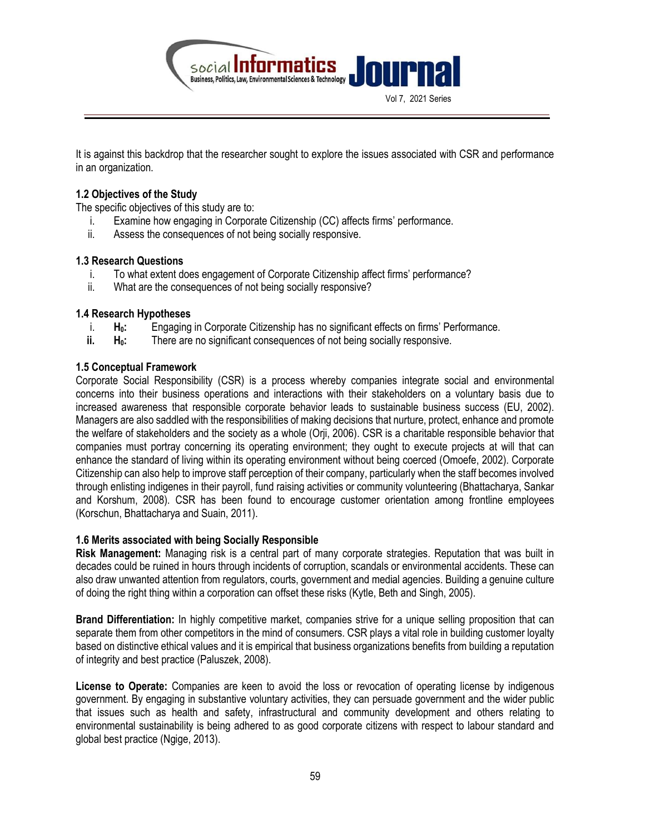

It is against this backdrop that the researcher sought to explore the issues associated with CSR and performance in an organization.

## 1.2 Objectives of the Study

The specific objectives of this study are to:

- i. Examine how engaging in Corporate Citizenship (CC) affects firms' performance.
- ii. Assess the consequences of not being socially responsive.

#### 1.3 Research Questions

- i. To what extent does engagement of Corporate Citizenship affect firms' performance?
- ii. What are the consequences of not being socially responsive?

#### 1.4 Research Hypotheses

- $i.$  H<sub>0</sub>: Engaging in Corporate Citizenship has no significant effects on firms' Performance.
- $ii.$  H<sub>0</sub>: There are no significant consequences of not being socially responsive.

#### 1.5 Conceptual Framework

Corporate Social Responsibility (CSR) is a process whereby companies integrate social and environmental concerns into their business operations and interactions with their stakeholders on a voluntary basis due to increased awareness that responsible corporate behavior leads to sustainable business success (EU, 2002). Managers are also saddled with the responsibilities of making decisions that nurture, protect, enhance and promote the welfare of stakeholders and the society as a whole (Orji, 2006). CSR is a charitable responsible behavior that companies must portray concerning its operating environment; they ought to execute projects at will that can enhance the standard of living within its operating environment without being coerced (Omoefe, 2002). Corporate Citizenship can also help to improve staff perception of their company, particularly when the staff becomes involved through enlisting indigenes in their payroll, fund raising activities or community volunteering (Bhattacharya, Sankar and Korshum, 2008). CSR has been found to encourage customer orientation among frontline employees (Korschun, Bhattacharya and Suain, 2011).

#### 1.6 Merits associated with being Socially Responsible

Risk Management: Managing risk is a central part of many corporate strategies. Reputation that was built in decades could be ruined in hours through incidents of corruption, scandals or environmental accidents. These can also draw unwanted attention from regulators, courts, government and medial agencies. Building a genuine culture of doing the right thing within a corporation can offset these risks (Kytle, Beth and Singh, 2005).

Brand Differentiation: In highly competitive market, companies strive for a unique selling proposition that can separate them from other competitors in the mind of consumers. CSR plays a vital role in building customer loyalty based on distinctive ethical values and it is empirical that business organizations benefits from building a reputation of integrity and best practice (Paluszek, 2008).

License to Operate: Companies are keen to avoid the loss or revocation of operating license by indigenous government. By engaging in substantive voluntary activities, they can persuade government and the wider public that issues such as health and safety, infrastructural and community development and others relating to environmental sustainability is being adhered to as good corporate citizens with respect to labour standard and global best practice (Ngige, 2013).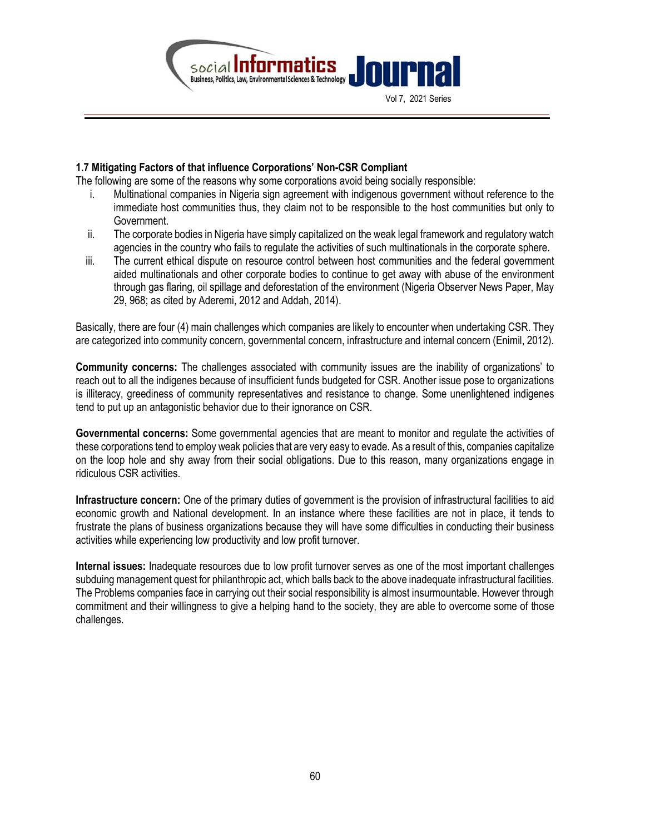

#### 1.7 Mitigating Factors of that influence Corporations' Non-CSR Compliant

The following are some of the reasons why some corporations avoid being socially responsible:

- i. Multinational companies in Nigeria sign agreement with indigenous government without reference to the immediate host communities thus, they claim not to be responsible to the host communities but only to Government.
- ii. The corporate bodies in Nigeria have simply capitalized on the weak legal framework and regulatory watch agencies in the country who fails to regulate the activities of such multinationals in the corporate sphere.
- iii. The current ethical dispute on resource control between host communities and the federal government aided multinationals and other corporate bodies to continue to get away with abuse of the environment through gas flaring, oil spillage and deforestation of the environment (Nigeria Observer News Paper, May 29, 968; as cited by Aderemi, 2012 and Addah, 2014).

Basically, there are four (4) main challenges which companies are likely to encounter when undertaking CSR. They are categorized into community concern, governmental concern, infrastructure and internal concern (Enimil, 2012).

Community concerns: The challenges associated with community issues are the inability of organizations' to reach out to all the indigenes because of insufficient funds budgeted for CSR. Another issue pose to organizations is illiteracy, greediness of community representatives and resistance to change. Some unenlightened indigenes tend to put up an antagonistic behavior due to their ignorance on CSR.

Governmental concerns: Some governmental agencies that are meant to monitor and regulate the activities of these corporations tend to employ weak policies that are very easy to evade. As a result of this, companies capitalize on the loop hole and shy away from their social obligations. Due to this reason, many organizations engage in ridiculous CSR activities.

Infrastructure concern: One of the primary duties of government is the provision of infrastructural facilities to aid economic growth and National development. In an instance where these facilities are not in place, it tends to frustrate the plans of business organizations because they will have some difficulties in conducting their business activities while experiencing low productivity and low profit turnover.

Internal issues: Inadequate resources due to low profit turnover serves as one of the most important challenges subduing management quest for philanthropic act, which balls back to the above inadequate infrastructural facilities. The Problems companies face in carrying out their social responsibility is almost insurmountable. However through commitment and their willingness to give a helping hand to the society, they are able to overcome some of those challenges.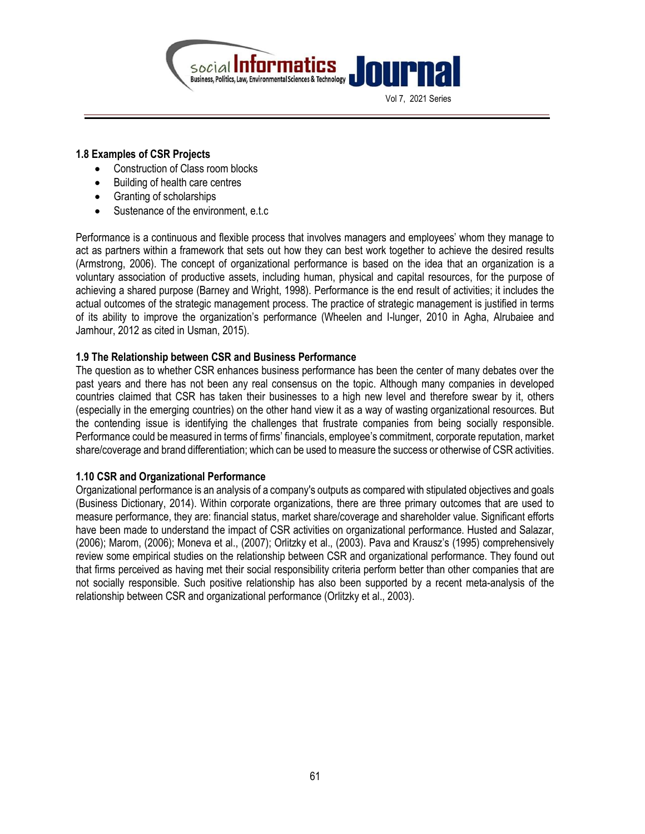

#### 1.8 Examples of CSR Projects

- Construction of Class room blocks
- Building of health care centres
- Granting of scholarships
- Sustenance of the environment, e.t.c

Performance is a continuous and flexible process that involves managers and employees' whom they manage to act as partners within a framework that sets out how they can best work together to achieve the desired results (Armstrong, 2006). The concept of organizational performance is based on the idea that an organization is a voluntary association of productive assets, including human, physical and capital resources, for the purpose of achieving a shared purpose (Barney and Wright, 1998). Performance is the end result of activities; it includes the actual outcomes of the strategic management process. The practice of strategic management is justified in terms of its ability to improve the organization's performance (Wheelen and I-lunger, 2010 in Agha, Alrubaiee and Jamhour, 2012 as cited in Usman, 2015).

#### 1.9 The Relationship between CSR and Business Performance

The question as to whether CSR enhances business performance has been the center of many debates over the past years and there has not been any real consensus on the topic. Although many companies in developed countries claimed that CSR has taken their businesses to a high new level and therefore swear by it, others (especially in the emerging countries) on the other hand view it as a way of wasting organizational resources. But the contending issue is identifying the challenges that frustrate companies from being socially responsible. Performance could be measured in terms of firms' financials, employee's commitment, corporate reputation, market share/coverage and brand differentiation; which can be used to measure the success or otherwise of CSR activities.

#### 1.10 CSR and Organizational Performance

Organizational performance is an analysis of a company's outputs as compared with stipulated objectives and goals (Business Dictionary, 2014). Within corporate organizations, there are three primary outcomes that are used to measure performance, they are: financial status, market share/coverage and shareholder value. Significant efforts have been made to understand the impact of CSR activities on organizational performance. Husted and Salazar, (2006); Marom, (2006); Moneva et al., (2007); Orlitzky et al., (2003). Pava and Krausz's (1995) comprehensively review some empirical studies on the relationship between CSR and organizational performance. They found out that firms perceived as having met their social responsibility criteria perform better than other companies that are not socially responsible. Such positive relationship has also been supported by a recent meta-analysis of the relationship between CSR and organizational performance (Orlitzky et al., 2003).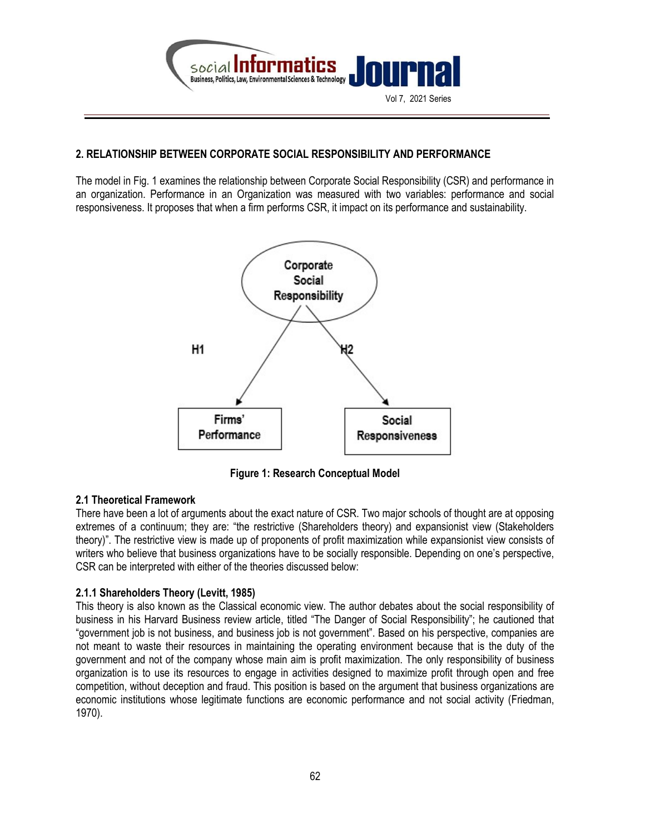

## 2. RELATIONSHIP BETWEEN CORPORATE SOCIAL RESPONSIBILITY AND PERFORMANCE

The model in Fig. 1 examines the relationship between Corporate Social Responsibility (CSR) and performance in an organization. Performance in an Organization was measured with two variables: performance and social responsiveness. It proposes that when a firm performs CSR, it impact on its performance and sustainability.



Figure 1: Research Conceptual Model

#### 2.1 Theoretical Framework

There have been a lot of arguments about the exact nature of CSR. Two major schools of thought are at opposing extremes of a continuum; they are: "the restrictive (Shareholders theory) and expansionist view (Stakeholders theory)". The restrictive view is made up of proponents of profit maximization while expansionist view consists of writers who believe that business organizations have to be socially responsible. Depending on one's perspective, CSR can be interpreted with either of the theories discussed below:

#### 2.1.1 Shareholders Theory (Levitt, 1985)

This theory is also known as the Classical economic view. The author debates about the social responsibility of business in his Harvard Business review article, titled "The Danger of Social Responsibility"; he cautioned that "government job is not business, and business job is not government". Based on his perspective, companies are not meant to waste their resources in maintaining the operating environment because that is the duty of the government and not of the company whose main aim is profit maximization. The only responsibility of business organization is to use its resources to engage in activities designed to maximize profit through open and free competition, without deception and fraud. This position is based on the argument that business organizations are economic institutions whose legitimate functions are economic performance and not social activity (Friedman, 1970).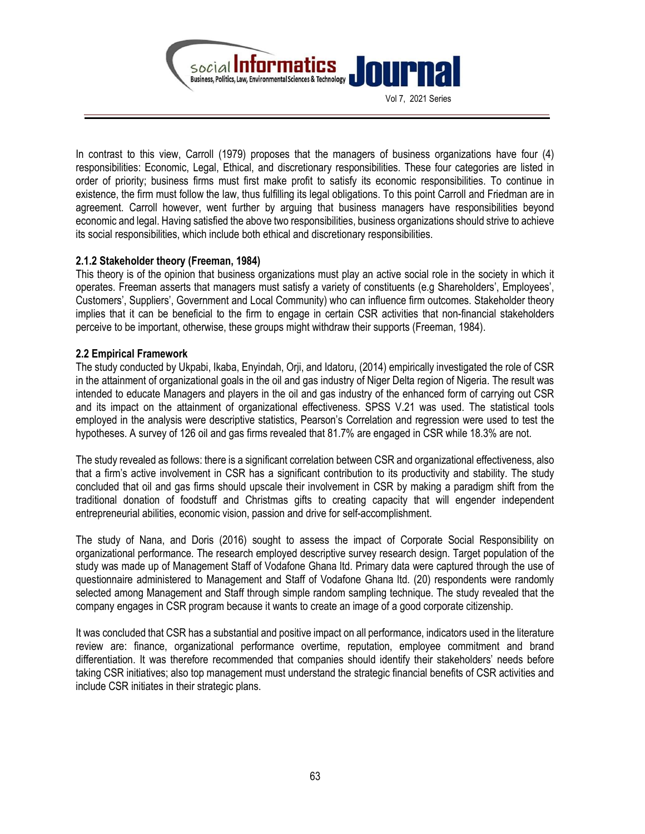

In contrast to this view, Carroll (1979) proposes that the managers of business organizations have four (4) responsibilities: Economic, Legal, Ethical, and discretionary responsibilities. These four categories are listed in order of priority; business firms must first make profit to satisfy its economic responsibilities. To continue in existence, the firm must follow the law, thus fulfilling its legal obligations. To this point Carroll and Friedman are in agreement. Carroll however, went further by arguing that business managers have responsibilities beyond economic and legal. Having satisfied the above two responsibilities, business organizations should strive to achieve its social responsibilities, which include both ethical and discretionary responsibilities.

## 2.1.2 Stakeholder theory (Freeman, 1984)

This theory is of the opinion that business organizations must play an active social role in the society in which it operates. Freeman asserts that managers must satisfy a variety of constituents (e.g Shareholders', Employees', Customers', Suppliers', Government and Local Community) who can influence firm outcomes. Stakeholder theory implies that it can be beneficial to the firm to engage in certain CSR activities that non-financial stakeholders perceive to be important, otherwise, these groups might withdraw their supports (Freeman, 1984).

#### 2.2 Empirical Framework

The study conducted by Ukpabi, Ikaba, Enyindah, Orji, and Idatoru, (2014) empirically investigated the role of CSR in the attainment of organizational goals in the oil and gas industry of Niger Delta region of Nigeria. The result was intended to educate Managers and players in the oil and gas industry of the enhanced form of carrying out CSR and its impact on the attainment of organizational effectiveness. SPSS V.21 was used. The statistical tools employed in the analysis were descriptive statistics, Pearson's Correlation and regression were used to test the hypotheses. A survey of 126 oil and gas firms revealed that 81.7% are engaged in CSR while 18.3% are not.

The study revealed as follows: there is a significant correlation between CSR and organizational effectiveness, also that a firm's active involvement in CSR has a significant contribution to its productivity and stability. The study concluded that oil and gas firms should upscale their involvement in CSR by making a paradigm shift from the traditional donation of foodstuff and Christmas gifts to creating capacity that will engender independent entrepreneurial abilities, economic vision, passion and drive for self-accomplishment.

The study of Nana, and Doris (2016) sought to assess the impact of Corporate Social Responsibility on organizational performance. The research employed descriptive survey research design. Target population of the study was made up of Management Staff of Vodafone Ghana ltd. Primary data were captured through the use of questionnaire administered to Management and Staff of Vodafone Ghana ltd. (20) respondents were randomly selected among Management and Staff through simple random sampling technique. The study revealed that the company engages in CSR program because it wants to create an image of a good corporate citizenship.

It was concluded that CSR has a substantial and positive impact on all performance, indicators used in the literature review are: finance, organizational performance overtime, reputation, employee commitment and brand differentiation. It was therefore recommended that companies should identify their stakeholders' needs before taking CSR initiatives; also top management must understand the strategic financial benefits of CSR activities and include CSR initiates in their strategic plans.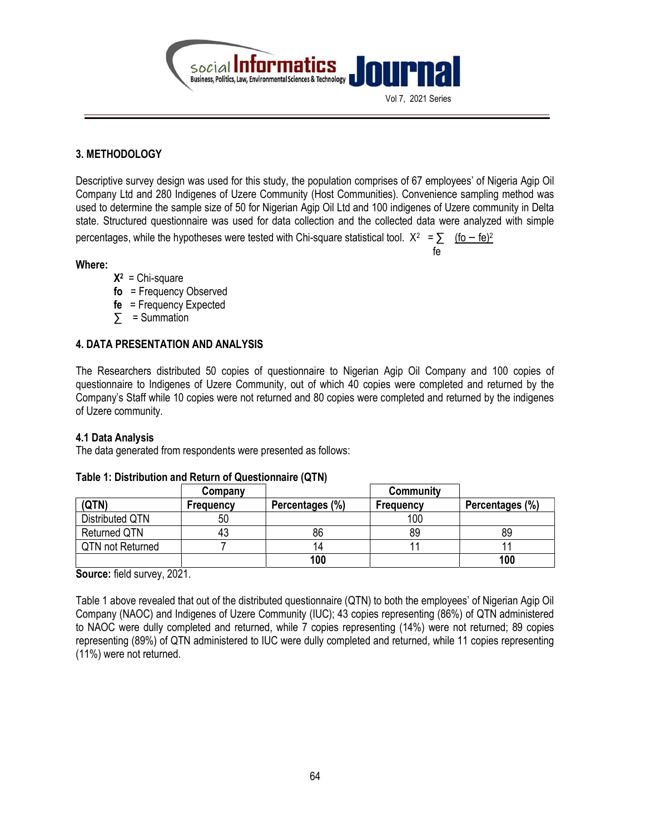

## 3. METHODOLOGY

Descriptive survey design was used for this study, the population comprises of 67 employees' of Nigeria Agip Oil Company Ltd and 280 Indigenes of Uzere Community (Host Communities). Convenience sampling method was used to determine the sample size of 50 for Nigerian Agip Oil Ltd and 100 indigenes of Uzere community in Delta state. Structured questionnaire was used for data collection and the collected data were analyzed with simple

fe and the state of the state of the state of the state of the state of the state of the state of the state of

percentages, while the hypotheses were tested with Chi-square statistical tool.  $X^2 = \sum_{n=1}^{\infty} \frac{(f_0 - f_0)^2}{n!}$ 

#### Where:

- $X^2$  = Chi-square
- fo = Frequency Observed
- $fe = Frequency Expected$
- $\sum$  = Summation

## 4. DATA PRESENTATION AND ANALYSIS

The Researchers distributed 50 copies of questionnaire to Nigerian Agip Oil Company and 100 copies of questionnaire to Indigenes of Uzere Community, out of which 40 copies were completed and returned by the Company's Staff while 10 copies were not returned and 80 copies were completed and returned by the indigenes of Uzere community.

#### 4.1 Data Analysis

The data generated from respondents were presented as follows:

|                     | Company          |                 | Community |                 |
|---------------------|------------------|-----------------|-----------|-----------------|
| (QTN)               | <b>Frequency</b> | Percentages (%) | Frequency | Percentages (%) |
| Distributed QTN     | 50               |                 | 100       |                 |
| <b>Returned QTN</b> | 43               | 86              | 89        | 89              |
| QTN not Returned    |                  | 14              |           |                 |
|                     |                  | 100             |           | 100             |

## Table 1: Distribution and Return of Questionnaire (QTN)

Source: field survey, 2021.

Table 1 above revealed that out of the distributed questionnaire (QTN) to both the employees' of Nigerian Agip Oil Company (NAOC) and Indigenes of Uzere Community (IUC); 43 copies representing (86%) of QTN administered to NAOC were dully completed and returned, while 7 copies representing (14%) were not returned; 89 copies representing (89%) of QTN administered to IUC were dully completed and returned, while 11 copies representing (11%) were not returned.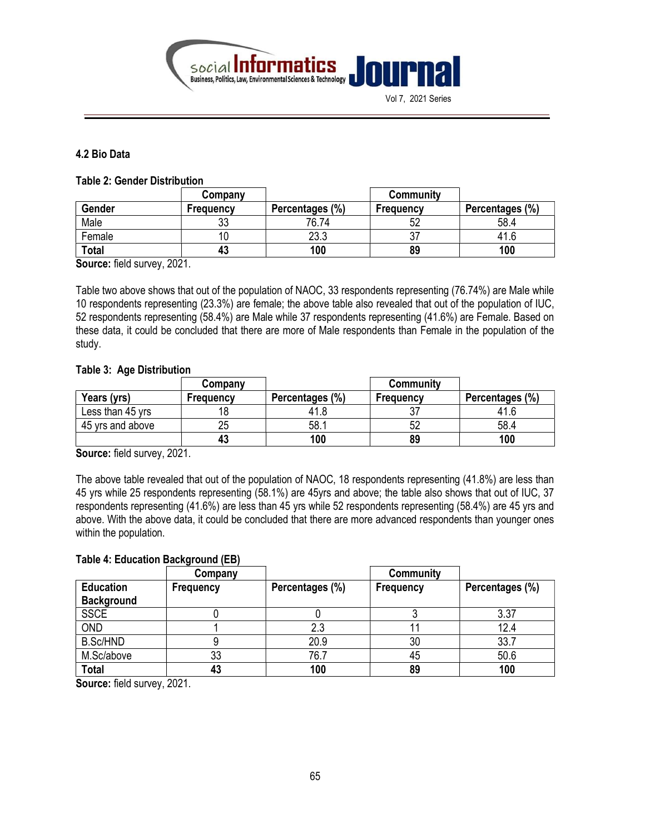

Vol 7, 2021 Series

## 4.2 Bio Data

#### Table 2: Gender Distribution

|              | Company          |                 | Community |                 |
|--------------|------------------|-----------------|-----------|-----------------|
| Gender       | <b>Frequency</b> | Percentages (%) | Frequency | Percentages (%) |
| Male         | າາ<br>ບບ         | 76.74           | 52        | 58.4            |
| Female       |                  | 23.3            | ັບ        | 41.6            |
| <b>Total</b> | 43               | 100             | 89        | 100             |

Source: field survey, 2021.

Table two above shows that out of the population of NAOC, 33 respondents representing (76.74%) are Male while 10 respondents representing (23.3%) are female; the above table also revealed that out of the population of IUC, 52 respondents representing (58.4%) are Male while 37 respondents representing (41.6%) are Female. Based on these data, it could be concluded that there are more of Male respondents than Female in the population of the study.

#### Table 3: Age Distribution

|                  | Company          |                 | Community |                 |
|------------------|------------------|-----------------|-----------|-----------------|
| Years (yrs)      | <b>Frequency</b> | Percentages (%) | Frequency | Percentages (%) |
| Less than 45 yrs |                  |                 |           |                 |
| 45 yrs and above |                  | 58.1            |           | 58.4            |
|                  | 43               | 100             | 89        | 100             |

Source: field survey, 2021.

The above table revealed that out of the population of NAOC, 18 respondents representing (41.8%) are less than 45 yrs while 25 respondents representing (58.1%) are 45yrs and above; the table also shows that out of IUC, 37 respondents representing (41.6%) are less than 45 yrs while 52 respondents representing (58.4%) are 45 yrs and above. With the above data, it could be concluded that there are more advanced respondents than younger ones within the population.

#### Table 4: Education Background (EB)

|                   | Company          |                 | <b>Community</b> |                 |
|-------------------|------------------|-----------------|------------------|-----------------|
| <b>Education</b>  | <b>Frequency</b> | Percentages (%) | Frequency        | Percentages (%) |
| <b>Background</b> |                  |                 |                  |                 |
| <b>SSCE</b>       |                  |                 |                  | 3.37            |
| <b>OND</b>        |                  | 2.3             |                  | 12.4            |
| <b>B.Sc/HND</b>   |                  | 20.9            | 30               | 33.7            |
| M.Sc/above        | 33               | 76.7            | 45               | 50.6            |
| <b>Total</b>      | 43               | 100             | 89               | 100             |

Source: field survey, 2021.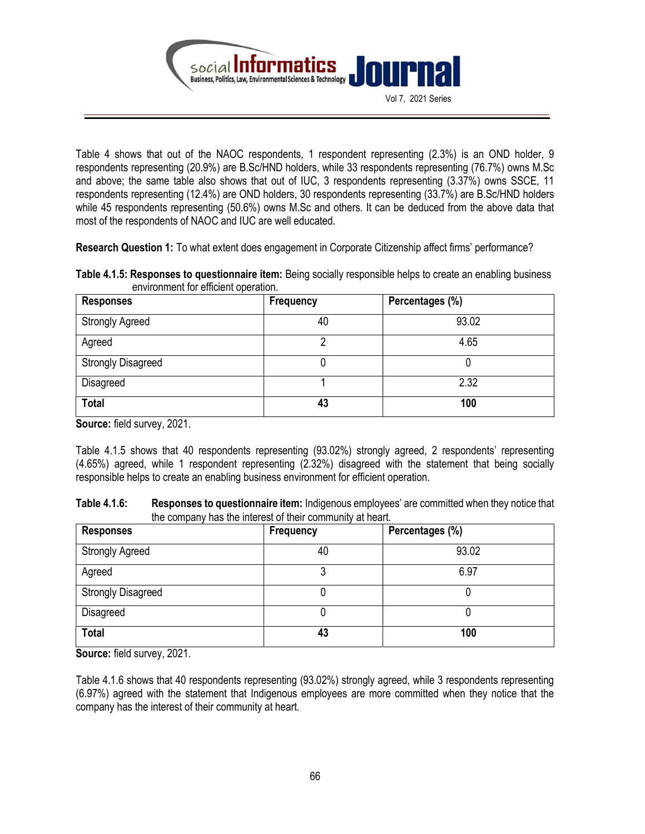

Table 4 shows that out of the NAOC respondents, 1 respondent representing (2.3%) is an OND holder, 9 respondents representing (20.9%) are B.Sc/HND holders, while 33 respondents representing (76.7%) owns M.Sc and above; the same table also shows that out of IUC, 3 respondents representing (3.37%) owns SSCE, 11 respondents representing (12.4%) are OND holders, 30 respondents representing (33.7%) are B.Sc/HND holders while 45 respondents representing (50.6%) owns M.Sc and others. It can be deduced from the above data that most of the respondents of NAOC and IUC are well educated.

Research Question 1: To what extent does engagement in Corporate Citizenship affect firms' performance?

Table 4.1.5: Responses to questionnaire item: Being socially responsible helps to create an enabling business environment for efficient operation.

| Responses                 | Frequency | Percentages (%) |
|---------------------------|-----------|-----------------|
| <b>Strongly Agreed</b>    | 40        | 93.02           |
| Agreed                    | ŋ         | 4.65            |
| <b>Strongly Disagreed</b> | O         |                 |
| Disagreed                 |           | 2.32            |
| <b>Total</b>              | 43        | 100             |

Source: field survey, 2021.

Table 4.1.5 shows that 40 respondents representing (93.02%) strongly agreed, 2 respondents' representing (4.65%) agreed, while 1 respondent representing (2.32%) disagreed with the statement that being socially responsible helps to create an enabling business environment for efficient operation.

| Table 4.1.6: | <b>Responses to questionnaire item:</b> Indigenous employees' are committed when they notice that |
|--------------|---------------------------------------------------------------------------------------------------|
|              | the company has the interest of their community at heart.                                         |

| <b>Responses</b>          | <b>Frequency</b> | Percentages (%) |
|---------------------------|------------------|-----------------|
| <b>Strongly Agreed</b>    | 40               | 93.02           |
| Agreed                    | 3                | 6.97            |
| <b>Strongly Disagreed</b> |                  |                 |
| Disagreed                 |                  |                 |
| <b>Total</b>              | 43               | 100             |

Source: field survey, 2021.

Table 4.1.6 shows that 40 respondents representing (93.02%) strongly agreed, while 3 respondents representing (6.97%) agreed with the statement that Indigenous employees are more committed when they notice that the company has the interest of their community at heart.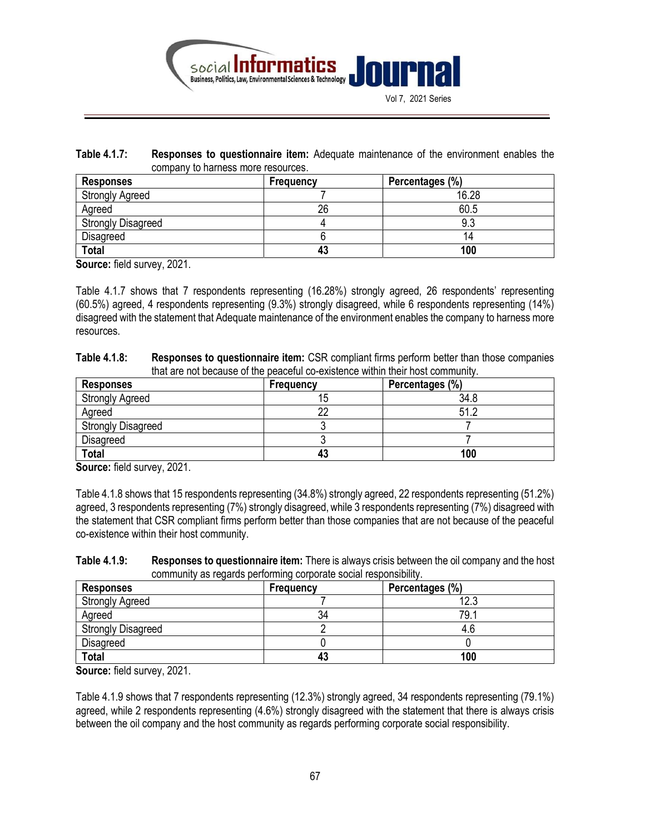

Table 4.1.7: Responses to questionnaire item: Adequate maintenance of the environment enables the company to harness more resources.

| Responses                 | Frequency | Percentages (%) |
|---------------------------|-----------|-----------------|
| <b>Strongly Agreed</b>    |           | 16.28           |
| Agreed                    | 26        | 60.5            |
| <b>Strongly Disagreed</b> |           | 9.3             |
| Disagreed                 |           |                 |
| <b>Total</b>              | 43        | 100             |

Source: field survey, 2021.

Table 4.1.7 shows that 7 respondents representing (16.28%) strongly agreed, 26 respondents' representing (60.5%) agreed, 4 respondents representing (9.3%) strongly disagreed, while 6 respondents representing (14%) disagreed with the statement that Adequate maintenance of the environment enables the company to harness more resources.

| Table 4.1.8: | <b>Responses to questionnaire item:</b> CSR compliant firms perform better than those companies |
|--------------|-------------------------------------------------------------------------------------------------|
|              | that are not because of the peaceful co-existence within their host community.                  |

| <b>Responses</b>          | Frequency | Percentages (%) |
|---------------------------|-----------|-----------------|
| <b>Strongly Agreed</b>    | 15        | 34.8            |
| Agreed                    | n         | 51.2            |
| <b>Strongly Disagreed</b> |           |                 |
| Disagreed                 |           |                 |
| <b>Total</b>              | 43        | 100             |

Source: field survey, 2021.

Table 4.1.8 shows that 15 respondents representing (34.8%) strongly agreed, 22 respondents representing (51.2%) agreed, 3 respondents representing (7%) strongly disagreed, while 3 respondents representing (7%) disagreed with the statement that CSR compliant firms perform better than those companies that are not because of the peaceful co-existence within their host community.

| Table 4.1.9: | <b>Responses to questionnaire item:</b> There is always crisis between the oil company and the host |
|--------------|-----------------------------------------------------------------------------------------------------|
|              | community as regards performing corporate social responsibility.                                    |

| <b>Responses</b>          | Frequency | Percentages (%) |
|---------------------------|-----------|-----------------|
| <b>Strongly Agreed</b>    |           | 12.3            |
| Agreed                    | 34        | 79.             |
| <b>Strongly Disagreed</b> |           | 4.t             |
| <b>Disagreed</b>          |           |                 |
| <b>Total</b>              | 43        | 100             |

Source: field survey, 2021.

Table 4.1.9 shows that 7 respondents representing (12.3%) strongly agreed, 34 respondents representing (79.1%) agreed, while 2 respondents representing (4.6%) strongly disagreed with the statement that there is always crisis between the oil company and the host community as regards performing corporate social responsibility.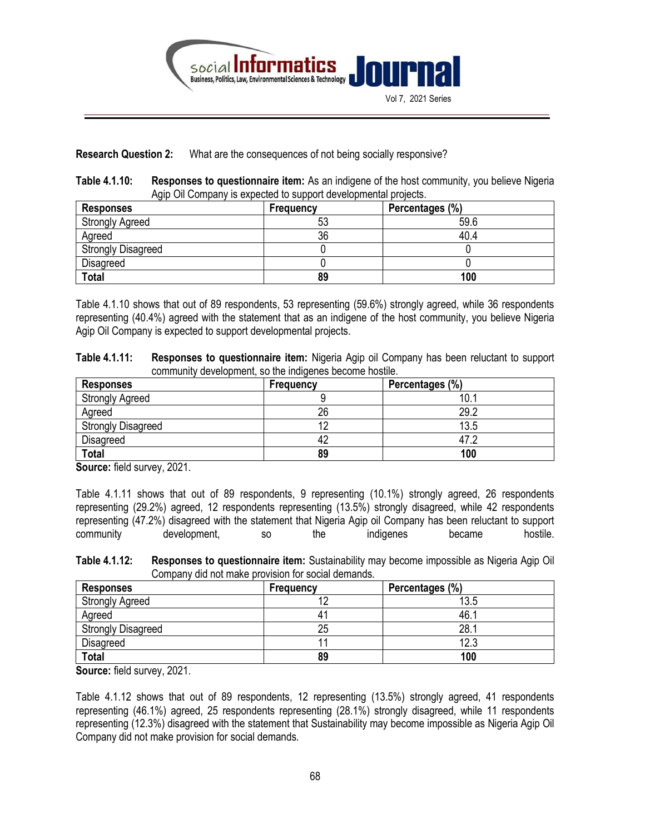

#### Research Question 2: What are the consequences of not being socially responsive?

Table 4.1.10: Responses to questionnaire item: As an indigene of the host community, you believe Nigeria Agip Oil Company is expected to support developmental projects.

| <b>Responses</b>          | Frequency | Percentages (%) |
|---------------------------|-----------|-----------------|
| <b>Strongly Agreed</b>    | 53        | 59.6            |
| Agreed                    | 36        | 40.4            |
| <b>Strongly Disagreed</b> |           |                 |
| <b>Disagreed</b>          |           |                 |
| <b>Total</b>              | 89        | 100             |

Table 4.1.10 shows that out of 89 respondents, 53 representing (59.6%) strongly agreed, while 36 respondents representing (40.4%) agreed with the statement that as an indigene of the host community, you believe Nigeria Agip Oil Company is expected to support developmental projects.

| Table 4.1.11: | Responses to questionnaire item: Nigeria Agip oil Company has been reluctant to support |
|---------------|-----------------------------------------------------------------------------------------|
|               | community development, so the indigenes become hostile.                                 |

| Responses                 | Frequency | Percentages (%) |
|---------------------------|-----------|-----------------|
| <b>Strongly Agreed</b>    |           | 10.             |
| Agreed                    | 26        | 29.2            |
| <b>Strongly Disagreed</b> |           | 13.5            |
| <b>Disagreed</b>          | 42        | 47.2            |
| <b>Total</b>              | 89        | 100             |

Source: field survey, 2021.

Table 4.1.11 shows that out of 89 respondents, 9 representing (10.1%) strongly agreed, 26 respondents representing (29.2%) agreed, 12 respondents representing (13.5%) strongly disagreed, while 42 respondents representing (47.2%) disagreed with the statement that Nigeria Agip oil Company has been reluctant to support community development, so the indigenes became hostile.

Table 4.1.12: Responses to questionnaire item: Sustainability may become impossible as Nigeria Agip Oil Company did not make provision for social demands.

| <b>Responses</b>          | Frequency | Percentages (%) |
|---------------------------|-----------|-----------------|
| <b>Strongly Agreed</b>    | $\sim$    | 13.5            |
| Agreed                    | 4         | 46.             |
| <b>Strongly Disagreed</b> | 25        | 28.             |
| <b>Disagreed</b>          |           | 12.3            |
| <b>Total</b>              | 89        | 100             |

Source: field survey, 2021.

Table 4.1.12 shows that out of 89 respondents, 12 representing (13.5%) strongly agreed, 41 respondents representing (46.1%) agreed, 25 respondents representing (28.1%) strongly disagreed, while 11 respondents representing (12.3%) disagreed with the statement that Sustainability may become impossible as Nigeria Agip Oil Company did not make provision for social demands.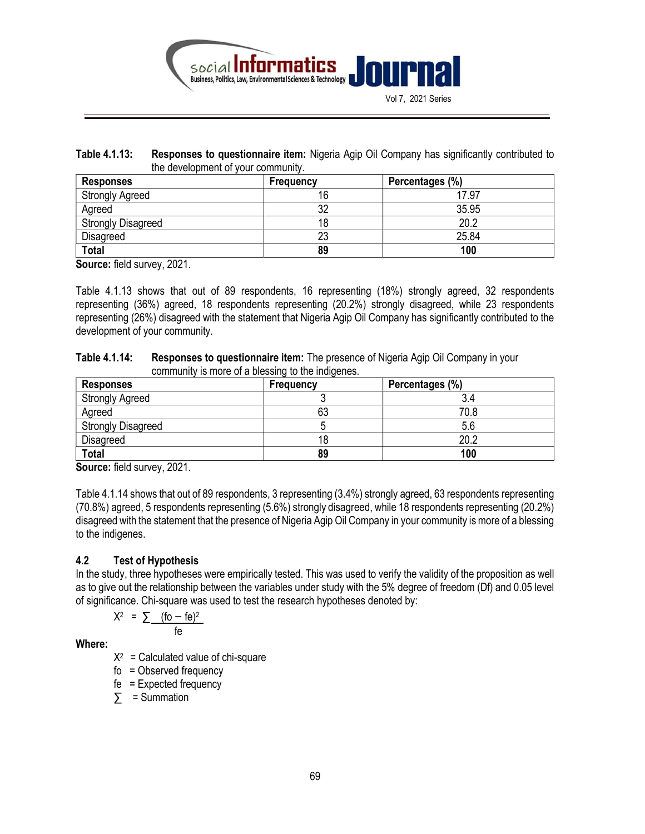

Table 4.1.13: Responses to questionnaire item: Nigeria Agip Oil Company has significantly contributed to the development of your community.

| Responses                 | <b>Frequency</b> | Percentages (%) |
|---------------------------|------------------|-----------------|
| <b>Strongly Agreed</b>    | 16               | 17.97           |
| Agreed                    | 32               | 35.95           |
| <b>Strongly Disagreed</b> |                  | 20.2            |
| <b>Disagreed</b>          | 23               | 25.84           |
| <b>Total</b>              | 89               | 100             |

Source: field survey, 2021.

Table 4.1.13 shows that out of 89 respondents, 16 representing (18%) strongly agreed, 32 respondents representing (36%) agreed, 18 respondents representing (20.2%) strongly disagreed, while 23 respondents representing (26%) disagreed with the statement that Nigeria Agip Oil Company has significantly contributed to the development of your community.

| Table 4.1.14: | <b>Responses to questionnaire item:</b> The presence of Nigeria Agip Oil Company in your |
|---------------|------------------------------------------------------------------------------------------|
|               | community is more of a blessing to the indigenes.                                        |

| <b>Responses</b>          | Frequency | Percentages (%) |
|---------------------------|-----------|-----------------|
| <b>Strongly Agreed</b>    |           |                 |
| Agreed                    | 63        | 70.8            |
| <b>Strongly Disagreed</b> |           |                 |
| <b>Disagreed</b>          | 18        | 20.2            |
| <b>Total</b>              | 89        | 100             |

Source: field survey, 2021.

Table 4.1.14 shows that out of 89 respondents, 3 representing (3.4%) strongly agreed, 63 respondents representing (70.8%) agreed, 5 respondents representing (5.6%) strongly disagreed, while 18 respondents representing (20.2%) disagreed with the statement that the presence of Nigeria Agip Oil Company in your community is more of a blessing to the indigenes.

## 4.2 Test of Hypothesis

In the study, three hypotheses were empirically tested. This was used to verify the validity of the proposition as well as to give out the relationship between the variables under study with the 5% degree of freedom (Df) and 0.05 level of significance. Chi-square was used to test the research hypotheses denoted by:

$$
X^2 = \sum \frac{(6 - 6e)^2}{6}
$$

Where:

 $X^2$  = Calculated value of chi-square

fo = Observed frequency

fe = Expected frequency

 $\sum$  = Summation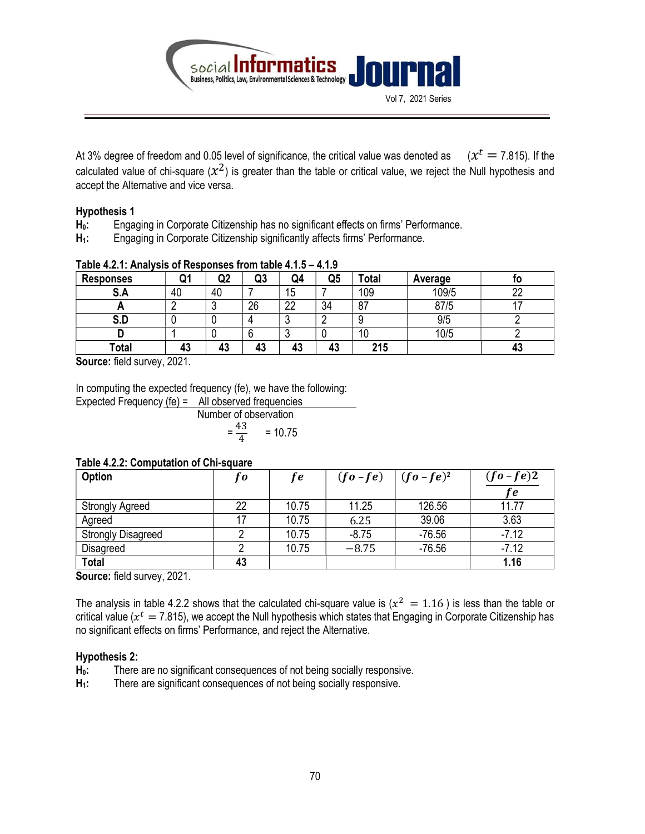

At 3% degree of freedom and 0.05 level of significance, the critical value was denoted as (  $(x^{t} = 7.815)$ . If the calculated value of chi-square  $(x^2)$  is greater than the table or critical value, we reject the Null hypothesis and accept the Alternative and vice versa.

## Hypothesis 1

- H<sub>0</sub>: Engaging in Corporate Citizenship has no significant effects on firms' Performance.
- H<sub>1</sub>: Engaging in Corporate Citizenship significantly affects firms' Performance.

| י טוויד שומאז וווטי טטטווטטאטווואס טוט אווויז ווויד אות |           |    |    |          |    |       |         |     |
|---------------------------------------------------------|-----------|----|----|----------|----|-------|---------|-----|
| <b>Responses</b>                                        |           | Q2 | Q3 | Q4       | Q5 | 'otal | Average | טו  |
| . е<br>J.M                                              | 40        | 40 |    | 15       |    | 109   | 109/5   | nr. |
|                                                         |           |    | 26 | nn       | 34 | 87    | 87/5    |     |
| ∪.u                                                     |           |    |    |          |    |       | 9/5     |     |
|                                                         |           |    |    |          |    | 10    | 10/5    |     |
| Total                                                   | 43        | 43 | 43 | 49<br>43 | 43 | 215   |         |     |
| .                                                       | $- - - -$ |    |    |          |    |       |         |     |

## Table  $4.2.1:$  Analysis of Responses from table  $4.1.5 - 4.1.9$ .

Source: field survey, 2021.

In computing the expected frequency (fe), we have the following:

Expected Frequency (fe) = All observed frequencies Number of observation = 43 4  $= 10.75$ 

#### Table 4.2.2: Computation of Chi-square

| Option                    | t o | f e   | $(f\mathbf{o} - f\mathbf{e})$ | $\int (fo - fe)^2$ | $(fo-fe)2$ |
|---------------------------|-----|-------|-------------------------------|--------------------|------------|
|                           |     |       |                               |                    | $f$ $e$    |
| <b>Strongly Agreed</b>    | 22  | 10.75 | 11.25                         | 126.56             | 11.77      |
| Agreed                    |     | 10.75 | 6.25                          | 39.06              | 3.63       |
| <b>Strongly Disagreed</b> |     | 10.75 | $-8.75$                       | $-76.56$           | $-7.12$    |
| Disagreed                 |     | 10.75 | $-8.75$                       | $-76.56$           | $-7.12$    |
| <b>Total</b>              | 43  |       |                               |                    | 1.16       |

Source: field survey, 2021.

The analysis in table 4.2.2 shows that the calculated chi-square value is  $(x^2 = 1.16)$  is less than the table or critical value ( $x^t = 7.815$ ), we accept the Null hypothesis which states that Engaging in Corporate Citizenship has no significant effects on firms' Performance, and reject the Alternative.

## Hypothesis 2:

- H<sub>0</sub>: There are no significant consequences of not being socially responsive.
- H<sub>1</sub>: There are significant consequences of not being socially responsive.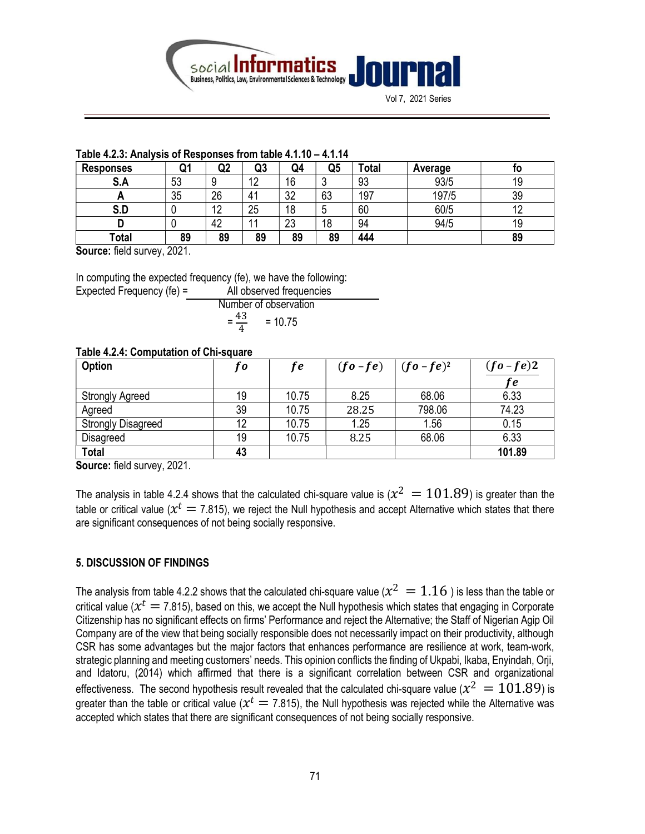

Vol 7, 2021 Series

#### Table 4.2.3: Analysis of Responses from table 4.1.10 – 4.1.14

| <b>Responses</b> | u. | Q2        | Q3              | Q4        | Q5 | 'otal | Average | טו |
|------------------|----|-----------|-----------------|-----------|----|-------|---------|----|
| e<br>.SA         | 53 | O<br>×.   | $\sqrt{2}$<br>- | 16        |    | 93    | 93/5    | 19 |
| <u>r</u>         | 35 | 26        |                 | າາ<br>J۷  | 63 | 197   | 197/5   | 39 |
| S.D              |    | 12<br>1 L | 25              | 18        |    | 60    | 60/5    |    |
|                  |    | 42        |                 | nn.<br>د∠ | 18 | 94    | 94/5    | 19 |
| Total            | 89 | 89        | 89              | 89        | 89 | 444   |         | 89 |

Source: field survey, 2021.

In computing the expected frequency (fe), we have the following:

| Expected Frequency (fe) $=$ | All observed frequencies        |
|-----------------------------|---------------------------------|
|                             | Number of observation           |
|                             | $=$ $\frac{43}{1}$<br>$= 10.75$ |

## Table 4.2.4: Computation of Chi-square

| Option                    | fo | <i>fe</i> | $(fo - fe)$ $(fo - fe)^2$ |        | $(fo-fe)2$ |
|---------------------------|----|-----------|---------------------------|--------|------------|
|                           |    |           |                           |        | fe         |
| Strongly Agreed           | 19 | 10.75     | 8.25                      | 68.06  | 6.33       |
| Agreed                    | 39 | 10.75     | 28.25                     | 798.06 | 74.23      |
| <b>Strongly Disagreed</b> | 12 | 10.75     | 1.25                      | 1.56   | 0.15       |
| Disagreed                 | 19 | 10.75     | 8.25                      | 68.06  | 6.33       |
| <b>Total</b>              | 43 |           |                           |        | 101.89     |

Source: field survey, 2021.

The analysis in table 4.2.4 shows that the calculated chi-square value is  $(\chi^2~=101.89)$  is greater than the table or critical value ( $x^t=$  7.815), we reject the Null hypothesis and accept Alternative which states that there are significant consequences of not being socially responsive.

## 5. DISCUSSION OF FINDINGS

The analysis from table 4.2.2 shows that the calculated chi-square value ( $\chi^2~=1.16$  ) is less than the table or critical value ( $x^t=$  7.815), based on this, we accept the Null hypothesis which states that engaging in Corporate Citizenship has no significant effects on firms' Performance and reject the Alternative; the Staff of Nigerian Agip Oil Company are of the view that being socially responsible does not necessarily impact on their productivity, although CSR has some advantages but the major factors that enhances performance are resilience at work, team-work, strategic planning and meeting customers' needs. This opinion conflicts the finding of Ukpabi, Ikaba, Enyindah, Orji, and Idatoru, (2014) which affirmed that there is a significant correlation between CSR and organizational effectiveness. The second hypothesis result revealed that the calculated chi-square value ( $x^2 = 101.89$ ) is greater than the table or critical value ( $x^t=$  7.815), the Null hypothesis was rejected while the Alternative was accepted which states that there are significant consequences of not being socially responsive.